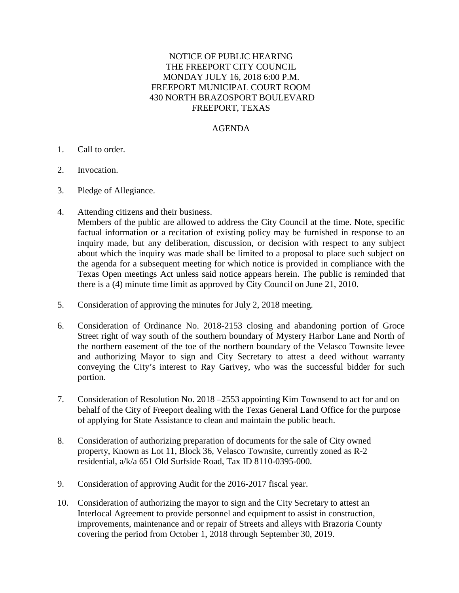## NOTICE OF PUBLIC HEARING THE FREEPORT CITY COUNCIL MONDAY JULY 16, 2018 6:00 P.M. FREEPORT MUNICIPAL COURT ROOM 430 NORTH BRAZOSPORT BOULEVARD FREEPORT, TEXAS

## AGENDA

- 1. Call to order.
- 2. Invocation.
- 3. Pledge of Allegiance.
- 4. Attending citizens and their business.

Members of the public are allowed to address the City Council at the time. Note, specific factual information or a recitation of existing policy may be furnished in response to an inquiry made, but any deliberation, discussion, or decision with respect to any subject about which the inquiry was made shall be limited to a proposal to place such subject on the agenda for a subsequent meeting for which notice is provided in compliance with the Texas Open meetings Act unless said notice appears herein. The public is reminded that there is a (4) minute time limit as approved by City Council on June 21, 2010.

- 5. Consideration of approving the minutes for July 2, 2018 meeting.
- 6. Consideration of Ordinance No. 2018-2153 closing and abandoning portion of Groce Street right of way south of the southern boundary of Mystery Harbor Lane and North of the northern easement of the toe of the northern boundary of the Velasco Townsite levee and authorizing Mayor to sign and City Secretary to attest a deed without warranty conveying the City's interest to Ray Garivey, who was the successful bidder for such portion.
- 7. Consideration of Resolution No. 2018 –2553 appointing Kim Townsend to act for and on behalf of the City of Freeport dealing with the Texas General Land Office for the purpose of applying for State Assistance to clean and maintain the public beach.
- 8. Consideration of authorizing preparation of documents for the sale of City owned property, Known as Lot 11, Block 36, Velasco Townsite, currently zoned as R-2 residential, a/k/a 651 Old Surfside Road, Tax ID 8110-0395-000.
- 9. Consideration of approving Audit for the 2016-2017 fiscal year.
- 10. Consideration of authorizing the mayor to sign and the City Secretary to attest an Interlocal Agreement to provide personnel and equipment to assist in construction, improvements, maintenance and or repair of Streets and alleys with Brazoria County covering the period from October 1, 2018 through September 30, 2019.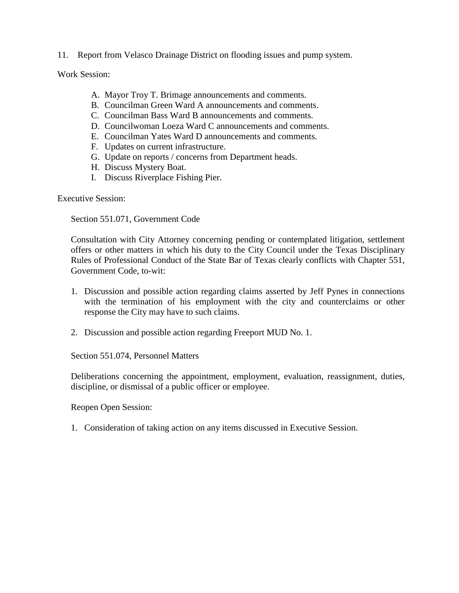11. Report from Velasco Drainage District on flooding issues and pump system.

Work Session:

- A. Mayor Troy T. Brimage announcements and comments.
- B. Councilman Green Ward A announcements and comments.
- C. Councilman Bass Ward B announcements and comments.
- D. Councilwoman Loeza Ward C announcements and comments.
- E. Councilman Yates Ward D announcements and comments.
- F. Updates on current infrastructure.
- G. Update on reports / concerns from Department heads.
- H. Discuss Mystery Boat.
- I. Discuss Riverplace Fishing Pier.

Executive Session:

Section 551.071, Government Code

Consultation with City Attorney concerning pending or contemplated litigation, settlement offers or other matters in which his duty to the City Council under the Texas Disciplinary Rules of Professional Conduct of the State Bar of Texas clearly conflicts with Chapter 551, Government Code, to-wit:

- 1. Discussion and possible action regarding claims asserted by Jeff Pynes in connections with the termination of his employment with the city and counterclaims or other response the City may have to such claims.
- 2. Discussion and possible action regarding Freeport MUD No. 1.

Section 551.074, Personnel Matters

Deliberations concerning the appointment, employment, evaluation, reassignment, duties, discipline, or dismissal of a public officer or employee.

Reopen Open Session:

1. Consideration of taking action on any items discussed in Executive Session.